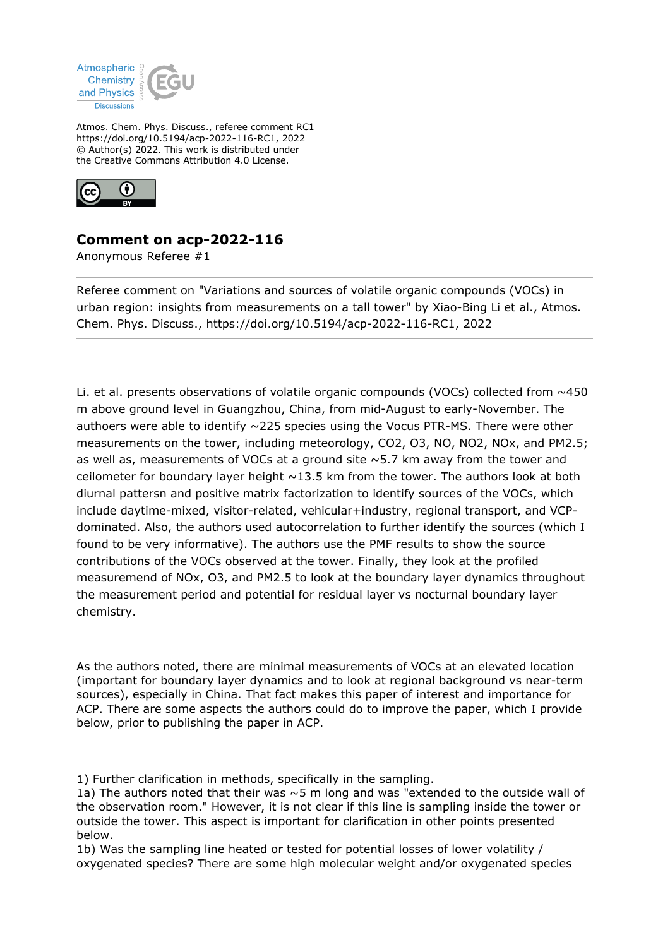

Atmos. Chem. Phys. Discuss., referee comment RC1 https://doi.org/10.5194/acp-2022-116-RC1, 2022 © Author(s) 2022. This work is distributed under the Creative Commons Attribution 4.0 License.



## **Comment on acp-2022-116**

Anonymous Referee #1

Referee comment on "Variations and sources of volatile organic compounds (VOCs) in urban region: insights from measurements on a tall tower" by Xiao-Bing Li et al., Atmos. Chem. Phys. Discuss., https://doi.org/10.5194/acp-2022-116-RC1, 2022

Li. et al. presents observations of volatile organic compounds (VOCs) collected from  $\sim$ 450 m above ground level in Guangzhou, China, from mid-August to early-November. The authoers were able to identify  $\sim$ 225 species using the Vocus PTR-MS. There were other measurements on the tower, including meteorology, CO2, O3, NO, NO2, NOx, and PM2.5; as well as, measurements of VOCs at a ground site  $\sim$  5.7 km away from the tower and ceilometer for boundary layer height  $\sim$ 13.5 km from the tower. The authors look at both diurnal pattersn and positive matrix factorization to identify sources of the VOCs, which include daytime-mixed, visitor-related, vehicular+industry, regional transport, and VCPdominated. Also, the authors used autocorrelation to further identify the sources (which I found to be very informative). The authors use the PMF results to show the source contributions of the VOCs observed at the tower. Finally, they look at the profiled measuremend of NOx, O3, and PM2.5 to look at the boundary layer dynamics throughout the measurement period and potential for residual layer vs nocturnal boundary layer chemistry.

As the authors noted, there are minimal measurements of VOCs at an elevated location (important for boundary layer dynamics and to look at regional background vs near-term sources), especially in China. That fact makes this paper of interest and importance for ACP. There are some aspects the authors could do to improve the paper, which I provide below, prior to publishing the paper in ACP.

1) Further clarification in methods, specifically in the sampling.

1a) The authors noted that their was  $\sim$  5 m long and was "extended to the outside wall of the observation room." However, it is not clear if this line is sampling inside the tower or outside the tower. This aspect is important for clarification in other points presented below.

1b) Was the sampling line heated or tested for potential losses of lower volatility / oxygenated species? There are some high molecular weight and/or oxygenated species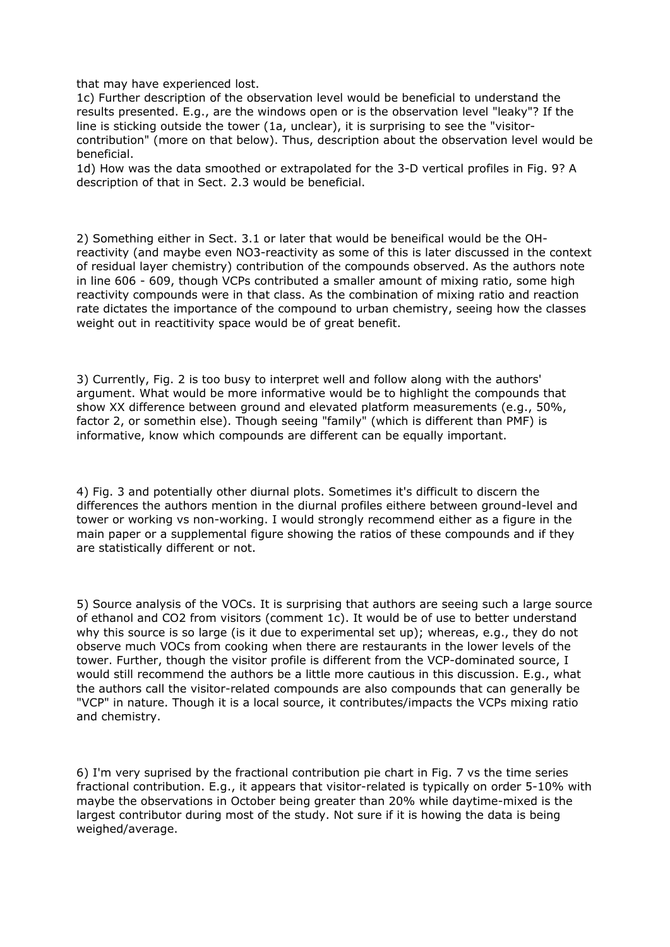that may have experienced lost.

1c) Further description of the observation level would be beneficial to understand the results presented. E.g., are the windows open or is the observation level "leaky"? If the line is sticking outside the tower (1a, unclear), it is surprising to see the "visitorcontribution" (more on that below). Thus, description about the observation level would be beneficial.

1d) How was the data smoothed or extrapolated for the 3-D vertical profiles in Fig. 9? A description of that in Sect. 2.3 would be beneficial.

2) Something either in Sect. 3.1 or later that would be beneifical would be the OHreactivity (and maybe even NO3-reactivity as some of this is later discussed in the context of residual layer chemistry) contribution of the compounds observed. As the authors note in line 606 - 609, though VCPs contributed a smaller amount of mixing ratio, some high reactivity compounds were in that class. As the combination of mixing ratio and reaction rate dictates the importance of the compound to urban chemistry, seeing how the classes weight out in reactitivity space would be of great benefit.

3) Currently, Fig. 2 is too busy to interpret well and follow along with the authors' argument. What would be more informative would be to highlight the compounds that show XX difference between ground and elevated platform measurements (e.g., 50%, factor 2, or somethin else). Though seeing "family" (which is different than PMF) is informative, know which compounds are different can be equally important.

4) Fig. 3 and potentially other diurnal plots. Sometimes it's difficult to discern the differences the authors mention in the diurnal profiles eithere between ground-level and tower or working vs non-working. I would strongly recommend either as a figure in the main paper or a supplemental figure showing the ratios of these compounds and if they are statistically different or not.

5) Source analysis of the VOCs. It is surprising that authors are seeing such a large source of ethanol and CO2 from visitors (comment 1c). It would be of use to better understand why this source is so large (is it due to experimental set up); whereas, e.g., they do not observe much VOCs from cooking when there are restaurants in the lower levels of the tower. Further, though the visitor profile is different from the VCP-dominated source, I would still recommend the authors be a little more cautious in this discussion. E.g., what the authors call the visitor-related compounds are also compounds that can generally be "VCP" in nature. Though it is a local source, it contributes/impacts the VCPs mixing ratio and chemistry.

6) I'm very suprised by the fractional contribution pie chart in Fig. 7 vs the time series fractional contribution. E.g., it appears that visitor-related is typically on order 5-10% with maybe the observations in October being greater than 20% while daytime-mixed is the largest contributor during most of the study. Not sure if it is howing the data is being weighed/average.